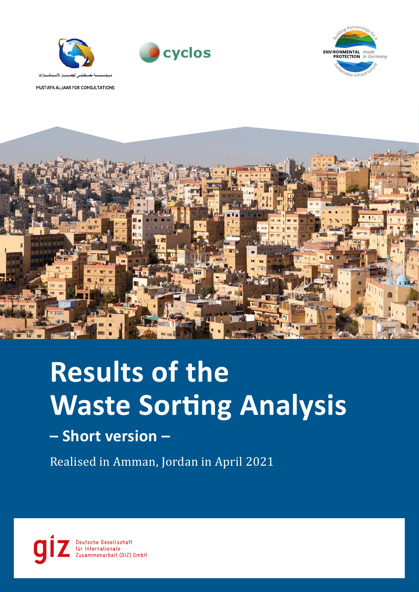





MUSTAFA AL-JAAR FOR CONSULTATIONS



# **Results of the Waste Sorting Analysis**

# **– Short version –**

Realised in Amman, Jordan in April 2021

Deutsche Gesellschaft ür Internationale Zusammenarbeit (GIZ) GmbH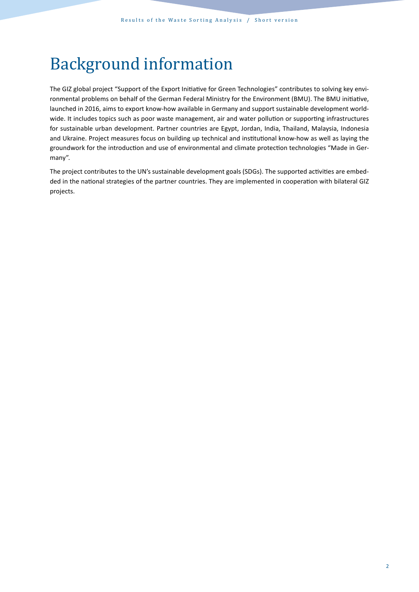# Background information

The GIZ global project "Support of the Export Initiative for Green Technologies" contributes to solving key environmental problems on behalf of the German Federal Ministry for the Environment (BMU). The BMU initiative, launched in 2016, aims to export know-how available in Germany and support sustainable development worldwide. It includes topics such as poor waste management, air and water pollution or supporting infrastructures for sustainable urban development. Partner countries are Egypt, Jordan, India, Thailand, Malaysia, Indonesia and Ukraine. Project measures focus on building up technical and institutional know-how as well as laying the groundwork for the introduction and use of environmental and climate protection technologies "Made in Germany".

The project contributes to the UN's sustainable development goals (SDGs). The supported activities are embedded in the national strategies of the partner countries. They are implemented in cooperation with bilateral GIZ projects.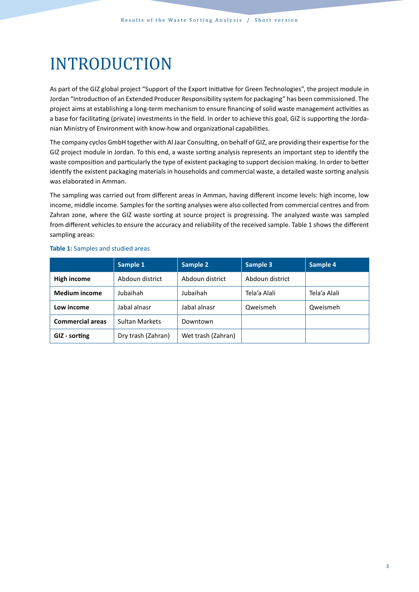# INTRODUCTION

As part of the GIZ global project "Support of the Export Initiative for Green Technologies", the project module in Jordan "Introduction of an Extended Producer Responsibility system for packaging" has been commissioned. The project aims at establishing a long-term mechanism to ensure financing of solid waste management activities as a base for facilitating (private) investments in the field. In order to achieve this goal, GIZ is supporting the Jordanian Ministry of Environment with know-how and organizational capabilities.

The company cyclos GmbH together with Al Jaar Consulting, on behalf of GIZ, are providing their expertise for the GIZ project module in Jordan. To this end, a waste sorting analysis represents an important step to identify the waste composition and particularly the type of existent packaging to support decision making. In order to better identify the existent packaging materials in households and commercial waste, a detailed waste sorting analysis was elaborated in Amman.

The sampling was carried out from different areas in Amman, having different income levels: high income, low income, middle income. Samples for the sorting analyses were also collected from commercial centres and from Zahran zone, where the GIZ waste sorting at source project is progressing. The analyzed waste was sampled from different vehicles to ensure the accuracy and reliability of the received sample. Table 1 shows the different sampling areas:

|                         | Sample 1              | Sample 2           | Sample 3        | Sample 4     |
|-------------------------|-----------------------|--------------------|-----------------|--------------|
| High income             | Abdoun district       | Abdoun district    | Abdoun district |              |
| <b>Medium income</b>    | Jubaihah              | Jubaihah           | Tela'a Alali    | Tela'a Alali |
| Low income              | Jabal alnasr          | Jabal alnasr       | Qweismeh        | Qweismeh     |
| <b>Commercial areas</b> | <b>Sultan Markets</b> | Downtown           |                 |              |
| GIZ - sorting           | Dry trash (Zahran)    | Wet trash (Zahran) |                 |              |

#### **Table 1:** Samples and studied areas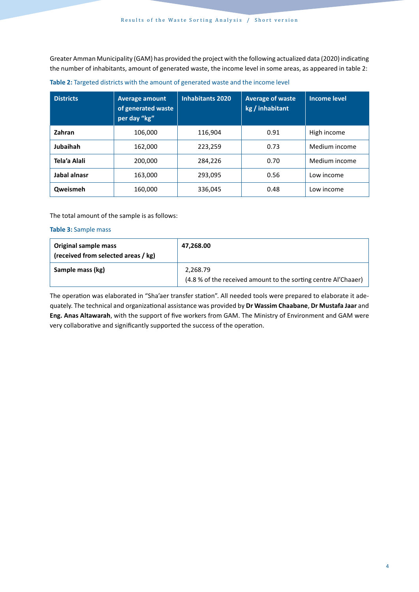Greater Amman Municipality (GAM) has provided the project with the following actualized data (2020) indicating the number of inhabitants, amount of generated waste, the income level in some areas, as appeared in table 2:

| <b>Districts</b> | <b>Average amount</b><br>of generated waste<br>per day "kg" | <b>Inhabitants 2020</b> | <b>Average of waste</b><br>kg / inhabitant | <b>Income level</b> |  |
|------------------|-------------------------------------------------------------|-------------------------|--------------------------------------------|---------------------|--|
| Zahran           | 106,000                                                     | 116.904                 | 0.91                                       | High income         |  |
| Jubaihah         | 162,000                                                     | 223,259                 | 0.73                                       | Medium income       |  |
| Tela'a Alali     | 200,000                                                     | 284,226                 | 0.70                                       | Medium income       |  |
| Jabal alnasr     | 163,000                                                     | 293,095                 | 0.56                                       | Low income          |  |
| Qweismeh         | 160,000                                                     | 336,045                 | 0.48                                       | Low income          |  |

**Table 2:** Targeted districts with the amount of generated waste and the income level

The total amount of the sample is as follows:

## **Table 3:** Sample mass

| Original sample mass<br>(received from selected areas / kg) | 47,268.00                                                                  |
|-------------------------------------------------------------|----------------------------------------------------------------------------|
| Sample mass (kg)                                            | 2,268.79<br>(4.8 % of the received amount to the sorting centre Al'Chaaer) |

The operation was elaborated in "Sha'aer transfer station". All needed tools were prepared to elaborate it adequately. The technical and organizational assistance was provided by **Dr Wassim Chaabane**, **Dr Mustafa Jaar** and **Eng. Anas Altawarah**, with the support of five workers from GAM. The Ministry of Environment and GAM were very collaborative and significantly supported the success of the operation.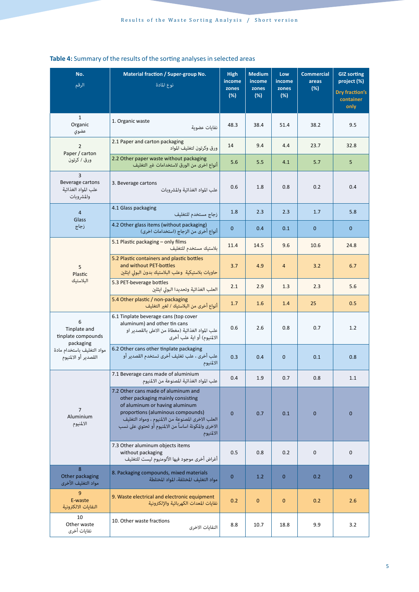| No.<br>الرقم                                                                                               | Material fraction / Super-group No.<br>نوع المادة                                                                                                                                                                                                                          | <b>High</b><br>income<br>zones<br>(%) | <b>Medium</b><br>income<br>zones<br>(%) | Low<br>income<br>zones<br>(%) | <b>Commercial</b><br>areas<br>(%) | <b>GIZ sorting</b><br>project (%)<br><b>Dry fraction's</b><br>container<br>only |
|------------------------------------------------------------------------------------------------------------|----------------------------------------------------------------------------------------------------------------------------------------------------------------------------------------------------------------------------------------------------------------------------|---------------------------------------|-----------------------------------------|-------------------------------|-----------------------------------|---------------------------------------------------------------------------------|
| $\mathbf{1}$<br>Organic<br>عضوى                                                                            | 1. Organic waste<br>نفايات عضوية                                                                                                                                                                                                                                           | 48.3                                  | 38.4                                    | 51.4                          | 38.2                              | 9.5                                                                             |
| $\overline{2}$                                                                                             | 2.1 Paper and carton packaging<br>ورق وكرتون لتغليف المواد                                                                                                                                                                                                                 | 14                                    | 9.4                                     | 4.4                           | 23.7                              | 32.8                                                                            |
| Paper / carton<br>ورق / كرتون                                                                              | 2.2 Other paper waste without packaging<br>أنواع اخرى من الورق لاستخدامات غبر التغليف                                                                                                                                                                                      | 5.6                                   | 5.5                                     | 4.1                           | 5.7                               | 5                                                                               |
| 3<br>Beverage cartons<br>علب المواد الغذائية<br>والمشروبات                                                 | 3. Beverage cartons<br>علب المواد الغذائية والمشروبات                                                                                                                                                                                                                      | 0.6                                   | 1.8                                     | 0.8                           | 0.2                               | 0.4                                                                             |
| $\overline{4}$<br>Glass                                                                                    | 4.1 Glass packaging<br>زجاج مستخدم للتغليف                                                                                                                                                                                                                                 | 1.8                                   | 2.3                                     | 2.3                           | 1.7                               | 5.8                                                                             |
| زجاج                                                                                                       | 4.2 Other glass items (without packaging)<br>أنواع أخرى من الزجاج (استخدامات اخرى)                                                                                                                                                                                         | $\mathbf 0$                           | 0.4                                     | 0.1                           | $\mathbf{0}$                      | $\mathbf{0}$                                                                    |
|                                                                                                            | 5.1 Plastic packaging - only films<br>بلاستيك مستخدم للتغليف                                                                                                                                                                                                               | 11.4                                  | 14.5                                    | 9.6                           | 10.6                              | 24.8                                                                            |
| 5<br>Plastic<br>البلاستيك                                                                                  | 5.2 Plastic containers and plastic bottles<br>and without PET-bottles<br>حاويات بلاستيكية  وعلب البلاستيك بدون البولى ايثلين                                                                                                                                               | 3.7                                   | 4.9                                     | $\overline{4}$                | 3.2                               | 6.7                                                                             |
|                                                                                                            | 5.3 PET-beverage bottles<br>العلب الغذائية وتحديدا البولى ايثلين                                                                                                                                                                                                           | 2.1                                   | 2.9                                     | 1.3                           | 2.3                               | 5.6                                                                             |
|                                                                                                            | 5.4 Other plastic / non-packaging<br>أنواع أخرى من البلاستيك / لغير التغليف                                                                                                                                                                                                | 1.7                                   | 1.6                                     | 1.4                           | 25                                | 0.5                                                                             |
| 6<br>Tinplate and<br>tinplate compounds<br>packaging<br>مواد التغليف باستخدام مادة<br>القصدير أو الالمنيوم | 6.1 Tinplate beverage cans (top cover<br>aluminum) and other tin cans<br>علب المواد الغذائية (مغطاة من الاعلى بالقصدير او<br>الالمنبوم) أو اية علب أخرى                                                                                                                    | 0.6                                   | 2.6                                     | 0.8                           | 0.7                               | 1.2                                                                             |
|                                                                                                            | 6.2 Other cans other tinplate packaging<br>علب أخرى ، علب تغليف أخرى تستخدم القصدير أو<br>الالمنيوم                                                                                                                                                                        | 0.3                                   | 0.4                                     | $\mathbf 0$                   | 0.1                               | 0.8                                                                             |
| $\overline{7}$<br>Aluminium<br>الالمنيوم                                                                   | 7.1 Beverage cans made of aluminium<br>علب المواد الغذائية المصنوعة من الالمنيوم                                                                                                                                                                                           | 0.4                                   | 1.9                                     | 0.7                           | 0.8                               | 1.1                                                                             |
|                                                                                                            | 7.2 Other cans made of aluminum and<br>other packaging mainly consisting<br>of aluminum or having aluminum<br>proportions (aluminous compounds)<br>العلب الاخرى المصنوعة من الالمنيوم ، ومواد التغليف<br>الاخرى والمكونة اساساً من الالمنيوم أو تحتوي على نسب<br>الالمنيوم | $\overline{0}$                        | 0.7                                     | 0.1                           | $\mathbf{0}$                      | $\mathbf{0}$                                                                    |
|                                                                                                            | 7.3 Other aluminum objects items<br>without packaging<br>أغراض أخرى موجود فيها الألومنيوم ليست للتغليف                                                                                                                                                                     | 0.5                                   | 0.8                                     | 0.2                           | $\mathbf 0$                       | $\mathbf 0$                                                                     |
| 8<br>Other packaging<br>مواد التغليف الأخرى                                                                | 8. Packaging compounds, mixed materials<br>مواد التغليف المختلفة، المواد المختلطة                                                                                                                                                                                          | $\overline{0}$                        | 1.2                                     | $\mathbf{0}$                  | 0.2                               | $\mathbf{0}$                                                                    |
| 9<br>E-waste<br>النفايات الالكترونية                                                                       | 9. Waste electrical and electronic equipment<br>نفايات المعدات الكهر بائية والإلكترونية                                                                                                                                                                                    | 0.2                                   | $\mathbf{0}$                            | $\mathbf{0}$                  | 0.2                               | 2.6                                                                             |
| 10<br>Other waste<br>نفايات أخرى                                                                           | 10. Other waste fractions<br>النفايات الاخرى                                                                                                                                                                                                                               | 8.8                                   | 10.7                                    | 18.8                          | 9.9                               | 3.2                                                                             |

# **Table 4:** Summary of the results of the sorting analyses in selected areas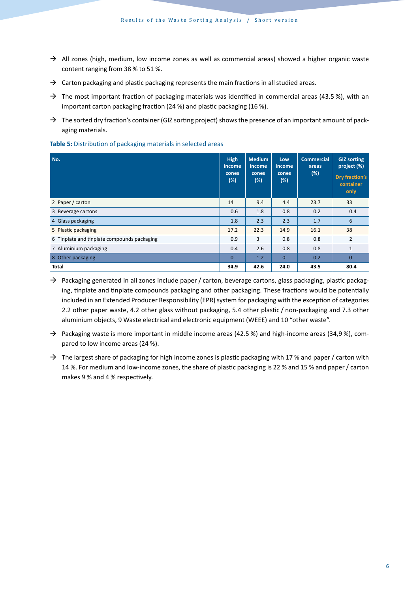- $\rightarrow$  All zones (high, medium, low income zones as well as commercial areas) showed a higher organic waste content ranging from 38 % to 51 %.
- $\rightarrow$  Carton packaging and plastic packaging represents the main fractions in all studied areas.
- $\rightarrow$  The most important fraction of packaging materials was identified in commercial areas (43.5 %), with an important carton packaging fraction (24 %) and plastic packaging (16 %).
- $\rightarrow$  The sorted dry fraction's container (GIZ sorting project) shows the presence of an important amount of packaging materials.

| No.                                         | <b>High</b><br>income<br>zones<br>(%) | <b>Medium</b><br>income<br>zones<br>(%) | Low<br>income<br>zones<br>$(\%)$ | <b>Commercial</b><br>areas<br>(%) | <b>GIZ sorting</b><br>project (%)<br>Dry fraction's<br>container<br>only |
|---------------------------------------------|---------------------------------------|-----------------------------------------|----------------------------------|-----------------------------------|--------------------------------------------------------------------------|
| 2 Paper / carton                            | 14                                    | 9.4                                     | 4.4                              | 23.7                              | 33                                                                       |
| 3 Beverage cartons                          | 0.6                                   | 1.8                                     | 0.8                              | 0.2                               | 0.4                                                                      |
| 4 Glass packaging                           | 1.8                                   | 2.3                                     | 2.3                              | 1.7                               | 6                                                                        |
| 5 Plastic packaging                         | 17.2                                  | 22.3                                    | 14.9                             | 16.1                              | 38                                                                       |
| 6 Tinplate and tinplate compounds packaging | 0.9                                   | 3                                       | 0.8                              | 0.8                               | $\overline{2}$                                                           |
| 7 Aluminium packaging                       | 0.4                                   | 2.6                                     | 0.8                              | 0.8                               | $\mathbf{1}$                                                             |
| 8 Other packaging                           | $\Omega$                              | 1.2                                     | $\Omega$                         | 0.2                               | $\mathbf{0}$                                                             |
| <b>Total</b>                                | 34.9                                  | 42.6                                    | 24.0                             | 43.5                              | 80.4                                                                     |

**Table 5:** Distribution of packaging materials in selected areas

- $\rightarrow$  Packaging generated in all zones include paper / carton, beverage cartons, glass packaging, plastic packaging, tinplate and tinplate compounds packaging and other packaging. These fractions would be potentially included in an Extended Producer Responsibility (EPR) system for packaging with the exception of categories 2.2 other paper waste, 4.2 other glass without packaging, 5.4 other plastic / non-packaging and 7.3 other aluminium objects, 9 Waste electrical and electronic equipment (WEEE) and 10 "other waste".
- $\rightarrow$  Packaging waste is more important in middle income areas (42.5 %) and high-income areas (34,9 %), compared to low income areas (24 %).
- $\rightarrow$  The largest share of packaging for high income zones is plastic packaging with 17 % and paper / carton with 14 %. For medium and low-income zones, the share of plastic packaging is 22 % and 15 % and paper / carton makes 9 % and 4 % respectively.